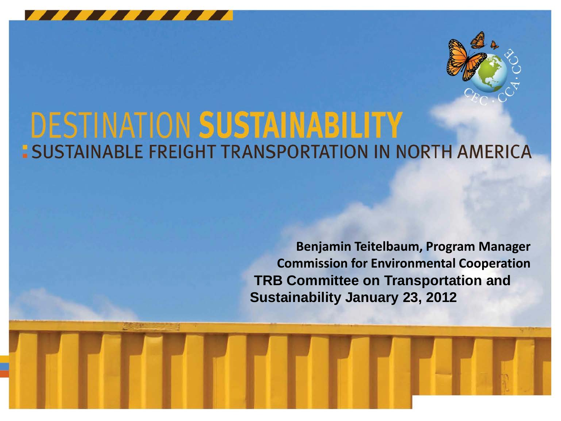



# **DESTINATION SUSTAINABILITY<br>: SUSTAINABLE FREIGHT TRANSPORTATION IN NORTH AMERICA**

**Benjamin Teitelbaum, Program Manager Commission for Environmental Cooperation TRB Committee on Transportation and Sustainability January 23, 2012**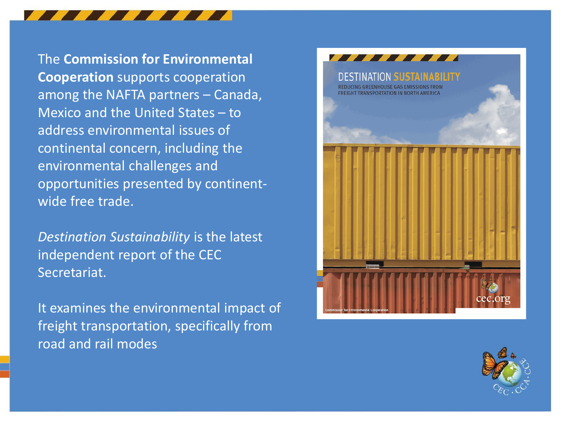The **Commission for Environmental Cooperation** supports cooperation among the NAFTA partners – Canada, Mexico and the United States – to address environmental issues of continental concern, including the environmental challenges and opportunities presented by continentwide free trade.

*Destination Sustainability* is the latest independent report of the CEC Secretariat.

It examines the environmental impact of freight transportation, specifically from road and rail modes



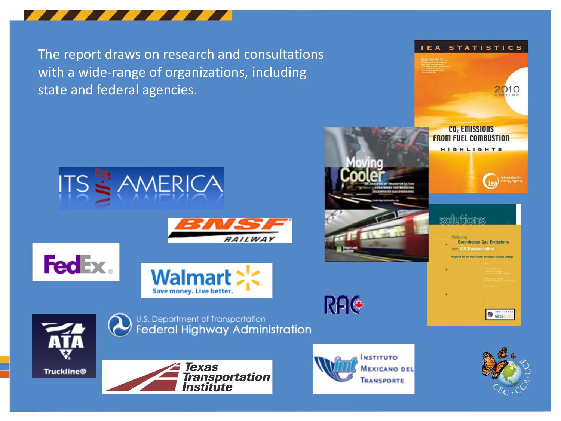

The report draws on research and consultations with a wide-range of organizations, including state and federal agencies.



IEA STATISTICS

CO<sub>2</sub> Emissions **FROM FUEL COMBUSTION** 

2010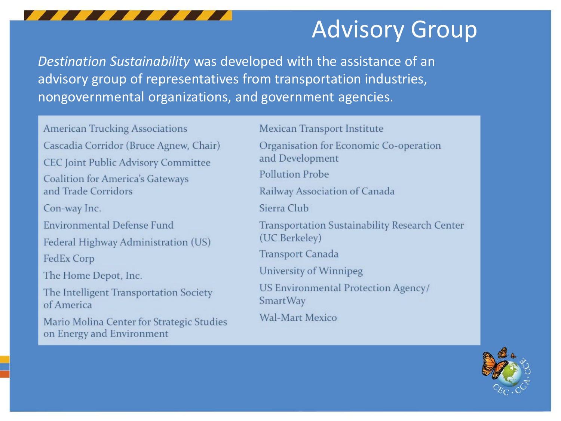

## Advisory Group

*Destination Sustainability* was developed with the assistance of an advisory group of representatives from transportation industries, nongovernmental organizations, and government agencies.

**American Trucking Associations** Cascadia Corridor (Bruce Agnew, Chair) **CEC Joint Public Advisory Committee Coalition for America's Gateways** and Trade Corridors Con-way Inc. **Environmental Defense Fund** Federal Highway Administration (US) FedEx Corp The Home Depot, Inc. The Intelligent Transportation Society of America Mario Molina Center for Strategic Studies on Energy and Environment

Mexican Transport Institute

Organisation for Economic Co-operation and Development

**Pollution Probe** 

Railway Association of Canada

Sierra Club

Transportation Sustainability Research Center (UC Berkeley)

Transport Canada

University of Winnipeg

US Environmental Protection Agency/ **SmartWay** 

**Wal-Mart Mexico** 

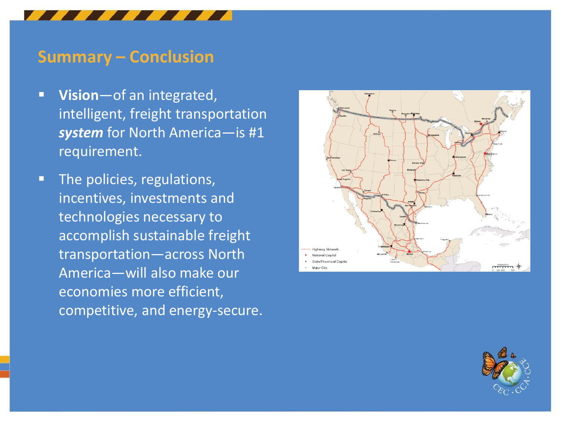#### **Summary – Conclusion**

- **Vision**—of an integrated, intelligent, freight transportation *system* for North America—is #1 requirement.
- **The policies, regulations,** incentives, investments and technologies necessary to accomplish sustainable freight transportation—across North America—will also make our economies more efficient, competitive, and energy-secure.



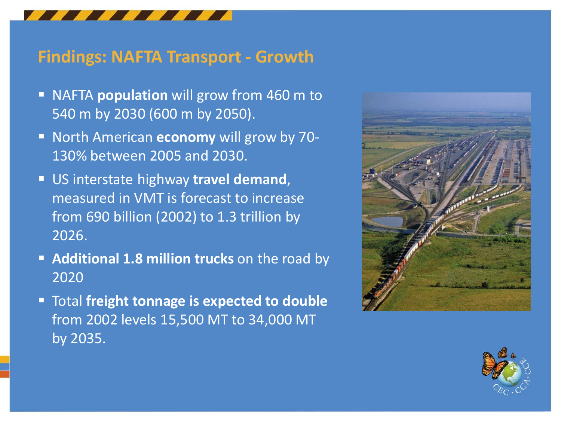### **Findings: NAFTA Transport - Growth**

- **NAFTA population** will grow from 460 m to 540 m by 2030 (600 m by 2050).
- **North American economy** will grow by 70-130% between 2005 and 2030.
- US interstate highway **travel demand**, measured in VMT is forecast to increase from 690 billion (2002) to 1.3 trillion by 2026.
- **Additional 1.8 million trucks** on the road by 2020
- Total **freight tonnage is expected to double** from 2002 levels 15,500 MT to 34,000 MT by 2035.



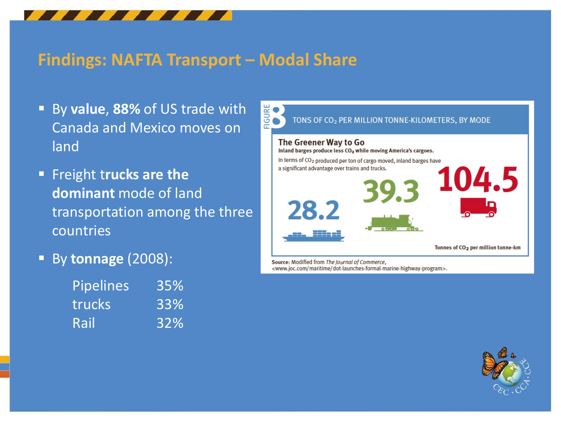

#### **Findings: NAFTA Transport – Modal Share**

- By **value**, **88%** of US trade with Canada and Mexico moves on land
- **Freight trucks are the dominant** mode of land transportation among the three countries
- By **tonnage** (2008):

| Pipelines | 35% |
|-----------|-----|
| trucks    | 33% |
| Rail      | 32% |



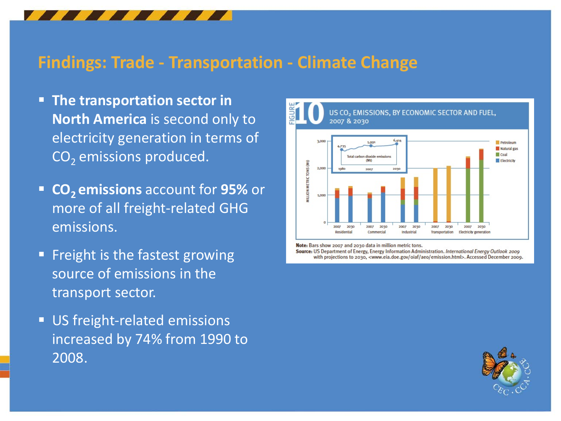### **Findings: Trade - Transportation - Climate Change**

- **The transportation sector in North America** is second only to electricity generation in terms of CO<sub>2</sub> emissions produced.
- **CO<sub>2</sub> emissions** account for 95% or more of all freight-related GHG emissions.
- **Filter** Freight is the fastest growing source of emissions in the transport sector.
- **US freight-related emissions** increased by 74% from 1990 to 2008.



Note: Bars show 2007 and 2030 data in million metric tons.

Source: US Department of Energy, Energy Information Administration. International Energy Outlook 2009 with projections to 2030, <www.eia.doe.gov/oiaf/aeo/emission.html>. Accessed December 2009.

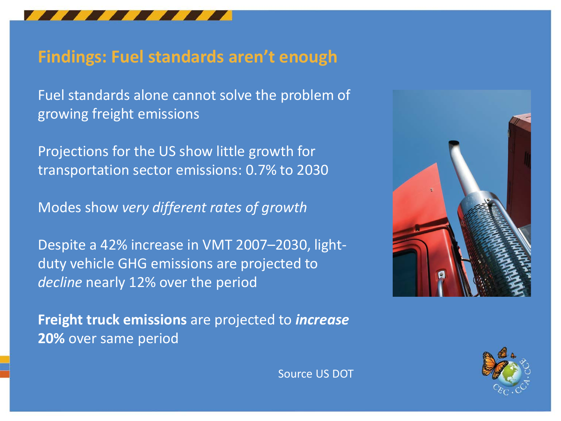

### **Findings: Fuel standards aren't enough**

Fuel standards alone cannot solve the problem of growing freight emissions

Projections for the US show little growth for transportation sector emissions: 0.7% to 2030

Modes show *very different rates of growth*

Despite a 42% increase in VMT 2007–2030, lightduty vehicle GHG emissions are projected to *decline* nearly 12% over the period

**Freight truck emissions** are projected to *increase* **20%** over same period





Source US DOT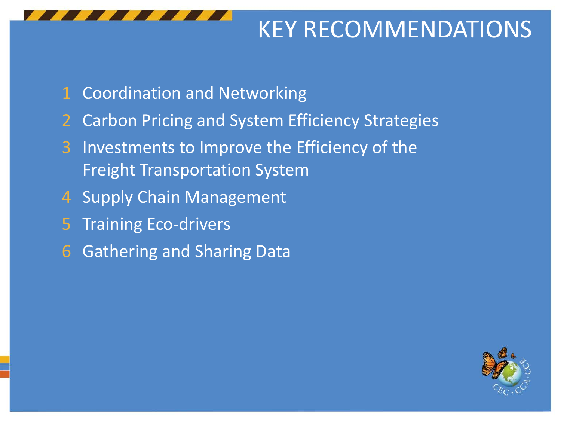

# KEY RECOMMENDATIONS

- Coordination and Networking
- Carbon Pricing and System Efficiency Strategies
- Investments to Improve the Efficiency of the Freight Transportation System
- Supply Chain Management
- Training Eco-drivers
- Gathering and Sharing Data